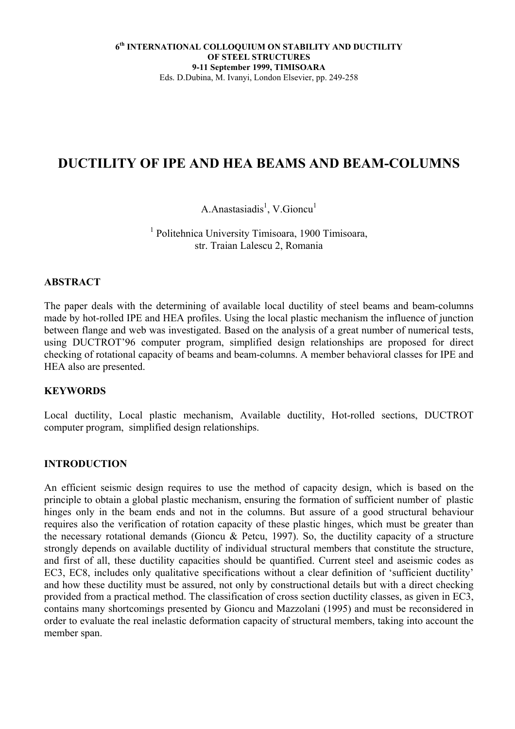# **DUCTILITY OF IPE AND HEA BEAMS AND BEAM-COLUMNS**

## A.Anastasiadis<sup>1</sup>, V.Gioncu<sup>1</sup>

1 Politehnica University Timisoara, 1900 Timisoara, str. Traian Lalescu 2, Romania

### **ABSTRACT**

The paper deals with the determining of available local ductility of steel beams and beam-columns made by hot-rolled IPE and HEA profiles. Using the local plastic mechanism the influence of junction between flange and web was investigated. Based on the analysis of a great number of numerical tests, using DUCTROT'96 computer program, simplified design relationships are proposed for direct checking of rotational capacity of beams and beam-columns. A member behavioral classes for IPE and HEA also are presented.

#### **KEYWORDS**

Local ductility, Local plastic mechanism, Available ductility, Hot-rolled sections, DUCTROT computer program, simplified design relationships.

#### **INTRODUCTION**

An efficient seismic design requires to use the method of capacity design, which is based on the principle to obtain a global plastic mechanism, ensuring the formation of sufficient number of plastic hinges only in the beam ends and not in the columns. But assure of a good structural behaviour requires also the verification of rotation capacity of these plastic hinges, which must be greater than the necessary rotational demands (Gioncu & Petcu, 1997). So, the ductility capacity of a structure strongly depends on available ductility of individual structural members that constitute the structure, and first of all, these ductility capacities should be quantified. Current steel and aseismic codes as EC3, EC8, includes only qualitative specifications without a clear definition of 'sufficient ductility' and how these ductility must be assured, not only by constructional details but with a direct checking provided from a practical method. The classification of cross section ductility classes, as given in EC3, contains many shortcomings presented by Gioncu and Mazzolani (1995) and must be reconsidered in order to evaluate the real inelastic deformation capacity of structural members, taking into account the member span.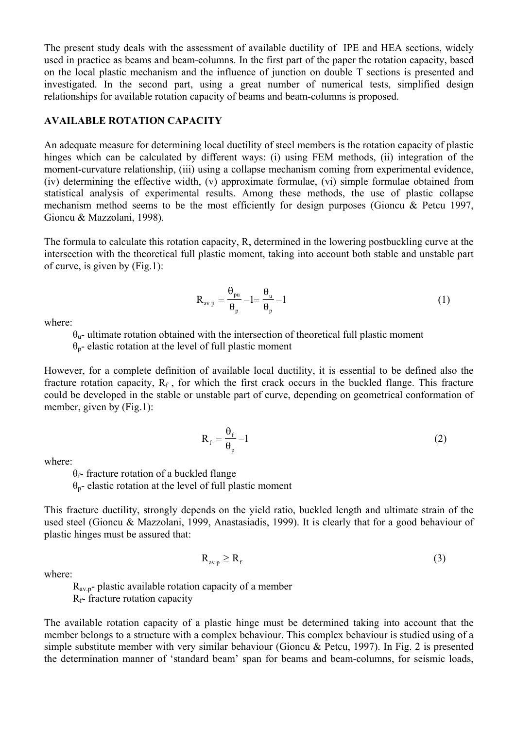The present study deals with the assessment of available ductility of IPE and HEA sections, widely used in practice as beams and beam-columns. In the first part of the paper the rotation capacity, based on the local plastic mechanism and the influence of junction on double T sections is presented and investigated. In the second part, using a great number of numerical tests, simplified design relationships for available rotation capacity of beams and beam-columns is proposed.

### **AVAILABLE ROTATION CAPACITY**

An adequate measure for determining local ductility of steel members is the rotation capacity of plastic hinges which can be calculated by different ways: (i) using FEM methods, (ii) integration of the moment-curvature relationship, (iii) using a collapse mechanism coming from experimental evidence, (iv) determining the effective width, (v) approximate formulae, (vi) simple formulae obtained from statistical analysis of experimental results. Among these methods, the use of plastic collapse mechanism method seems to be the most efficiently for design purposes (Gioncu & Petcu 1997, Gioncu & Mazzolani, 1998).

The formula to calculate this rotation capacity, R, determined in the lowering postbuckling curve at the intersection with the theoretical full plastic moment, taking into account both stable and unstable part of curve, is given by (Fig.1):

$$
R_{\text{av.p}} = \frac{\theta_{\text{pu}}}{\theta_{\text{p}}} - l = \frac{\theta_{\text{u}}}{\theta_{\text{p}}} - l \tag{1}
$$

where:

θu- ultimate rotation obtained with the intersection of theoretical full plastic moment

 $\theta_p$ - elastic rotation at the level of full plastic moment

However, for a complete definition of available local ductility, it is essential to be defined also the fracture rotation capacity,  $R_f$ , for which the first crack occurs in the buckled flange. This fracture could be developed in the stable or unstable part of curve, depending on geometrical conformation of member, given by (Fig.1):

$$
R_f = \frac{\theta_f}{\theta_p} - 1\tag{2}
$$

where:

 $θ$ <sub>f</sub>- fracture rotation of a buckled flange

θp- elastic rotation at the level of full plastic moment

This fracture ductility, strongly depends on the yield ratio, buckled length and ultimate strain of the used steel (Gioncu & Mazzolani, 1999, Anastasiadis, 1999). It is clearly that for a good behaviour of plastic hinges must be assured that:

$$
R_{\text{av.p}} \ge R_f \tag{3}
$$

where:

 $R_{av}$ <sub>p</sub>- plastic available rotation capacity of a member

 $R_f$ - fracture rotation capacity

The available rotation capacity of a plastic hinge must be determined taking into account that the member belongs to a structure with a complex behaviour. This complex behaviour is studied using of a simple substitute member with very similar behaviour (Gioncu & Petcu, 1997). In Fig. 2 is presented the determination manner of 'standard beam' span for beams and beam-columns, for seismic loads,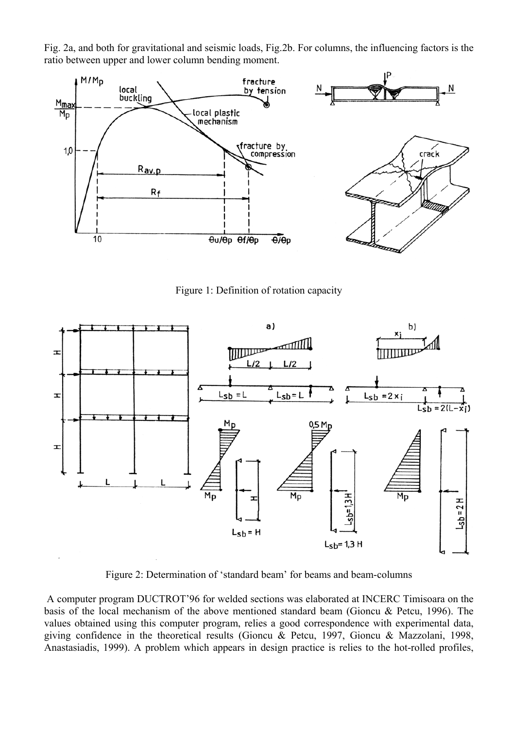Fig. 2a, and both for gravitational and seismic loads, Fig.2b. For columns, the influencing factors is the ratio between upper and lower column bending moment.



Figure 1: Definition of rotation capacity



Figure 2: Determination of 'standard beam' for beams and beam-columns

A computer program DUCTROT'96 for welded sections was elaborated at INCERC Timisoara on the basis of the local mechanism of the above mentioned standard beam (Gioncu & Petcu, 1996). The values obtained using this computer program, relies a good correspondence with experimental data, giving confidence in the theoretical results (Gioncu & Petcu, 1997, Gioncu & Mazzolani, 1998, Anastasiadis, 1999). A problem which appears in design practice is relies to the hot-rolled profiles,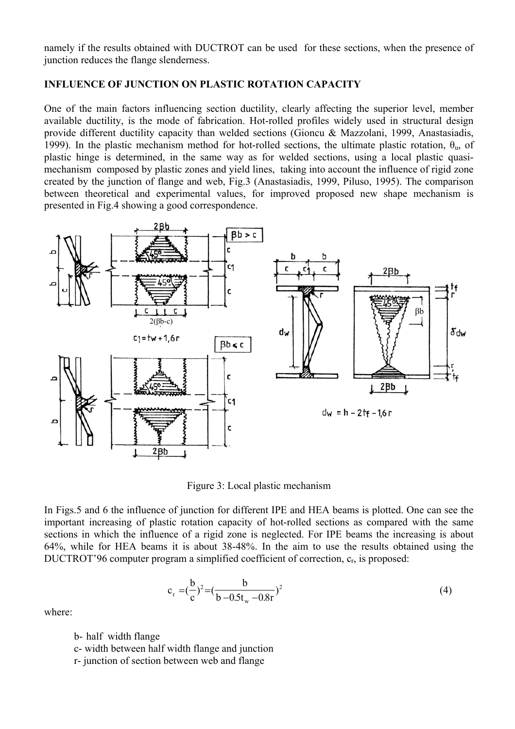namely if the results obtained with DUCTROT can be used for these sections, when the presence of junction reduces the flange slenderness.

### **INFLUENCE OF JUNCTION ON PLASTIC ROTATION CAPACITY**

One of the main factors influencing section ductility, clearly affecting the superior level, member available ductility, is the mode of fabrication. Hot-rolled profiles widely used in structural design provide different ductility capacity than welded sections (Gioncu & Mazzolani, 1999, Anastasiadis, 1999). In the plastic mechanism method for hot-rolled sections, the ultimate plastic rotation,  $\theta_u$ , of plastic hinge is determined, in the same way as for welded sections, using a local plastic quasimechanism composed by plastic zones and yield lines, taking into account the influence of rigid zone created by the junction of flange and web, Fig.3 (Anastasiadis, 1999, Piluso, 1995). The comparison between theoretical and experimental values, for improved proposed new shape mechanism is presented in Fig.4 showing a good correspondence.



Figure 3: Local plastic mechanism

In Figs.5 and 6 the influence of junction for different IPE and HEA beams is plotted. One can see the important increasing of plastic rotation capacity of hot-rolled sections as compared with the same sections in which the influence of a rigid zone is neglected. For IPE beams the increasing is about 64%, while for HEA beams it is about 38-48%. In the aim to use the results obtained using the DUCTROT'96 computer program a simplified coefficient of correction, c<sub>r</sub>, is proposed:

$$
c_r = (\frac{b}{c})^2 = (\frac{b}{b - 0.5t_w - 0.8r})^2
$$
 (4)

where:

b- half width flange

- c- width between half width flange and junction
- r- junction of section between web and flange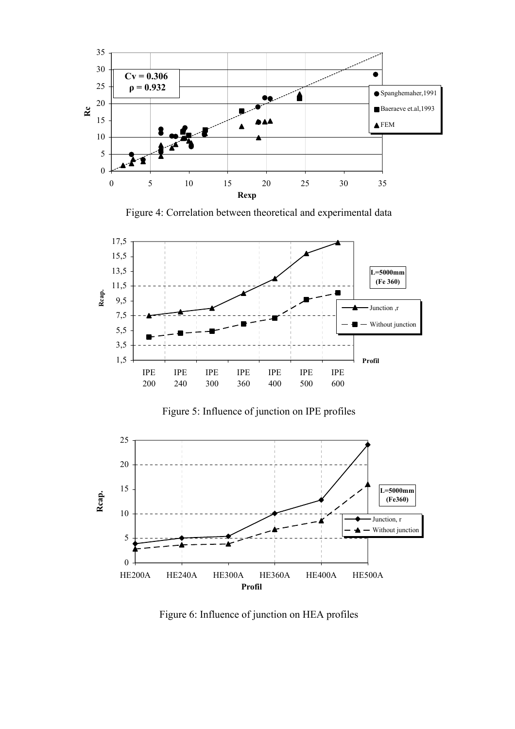

Figure 4: Correlation between theoretical and experimental data



Figure 5: Influence of junction on IPE profiles



Figure 6: Influence of junction on HEA profiles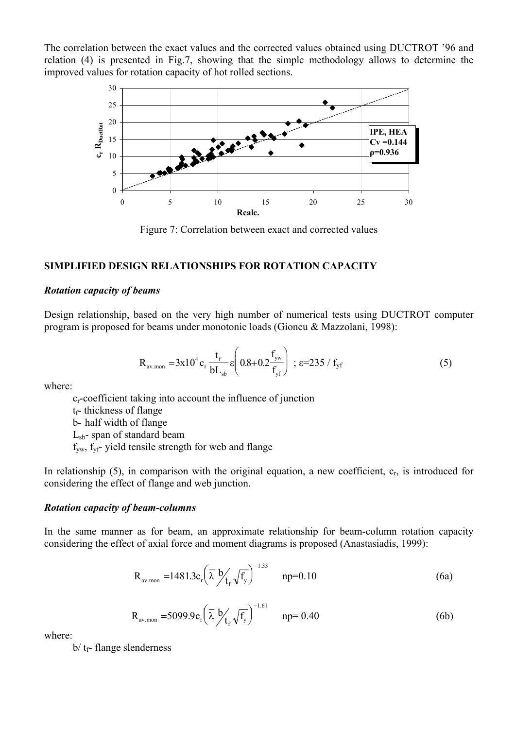The correlation between the exact values and the corrected values obtained using DUCTROT '96 and relation (4) is presented in Fig.7, showing that the simple methodology allows to determine the improved values for rotation capacity of hot rolled sections.



Figure 7: Correlation between exact and corrected values

### **SIMPLIFIED DESIGN RELATIONSHIPS FOR ROTATION CAPACITY**

#### *Rotation capacity of beams*

Design relationship, based on the very high number of numerical tests using DUCTROT computer program is proposed for beams under monotonic loads (Gioncu & Mazzolani, 1998):

$$
R_{\text{av.mon}} = 3x10^4 c_r \frac{t_f}{bL_{sb}} \epsilon \left( 0.8 + 0.2 \frac{f_{yw}}{f_{yf}} \right) ; \epsilon = 235 / f_{yf}
$$
 (5)

where:

 cr-coefficient taking into account the influence of junction  $t_f$ - thickness of flange b- half width of flange Lsb- span of standard beam  $f_{yw}$ ,  $f_{yf}$ - yield tensile strength for web and flange

In relationship  $(5)$ , in comparison with the original equation, a new coefficient,  $c_r$ , is introduced for considering the effect of flange and web junction.

#### *Rotation capacity of beam-columns*

In the same manner as for beam, an approximate relationship for beam-column rotation capacity considering the effect of axial force and moment diagrams is proposed (Anastasiadis, 1999):

$$
R_{\text{av.mon}} = 1481.3c_r \left(\frac{1}{\lambda} \frac{b}{f_f} \sqrt{f_y}\right)^{-1.33} \quad np = 0.10 \tag{6a}
$$

$$
R_{\text{av.mon}} = 5099.9 c_r \left(\bar{\lambda} \frac{b}{f_f} \sqrt{f_y}\right)^{-1.61} \quad np = 0.40 \tag{6b}
$$

where:

 $b/t_f$ - flange slenderness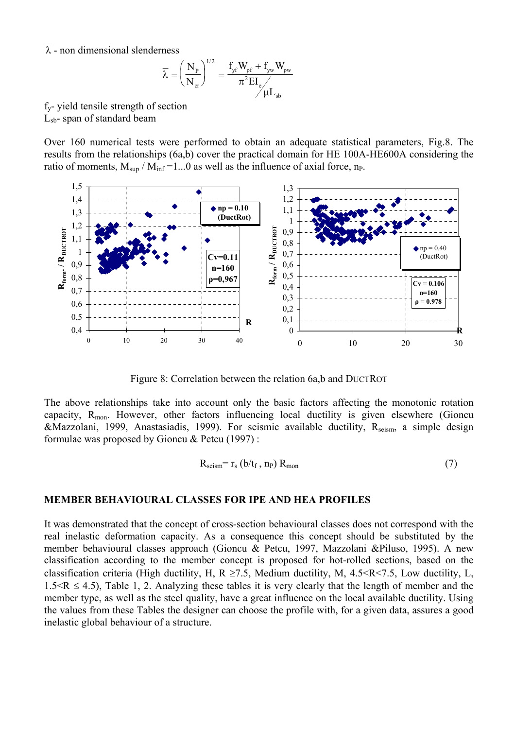$\overline{\lambda}$  - non dimensional slenderness

$$
\overline{\lambda} = \left(\frac{N_{\rm p}}{N_{\rm cr}}\right)^{1/2} = \frac{f_{\rm yf}W_{\rm pf} + f_{\rm yw}W_{\rm pw}}{\pi^2 EI_{\rm e}} / \mu L_{\rm sb}
$$

fy- yield tensile strength of section Lsb- span of standard beam

Over 160 numerical tests were performed to obtain an adequate statistical parameters, Fig.8. The results from the relationships (6a,b) cover the practical domain for HE 100A-HE600A considering the ratio of moments,  $M_{\text{sun}} / M_{\text{inf}} = 1...0$  as well as the influence of axial force, n<sub>P</sub>.



Figure 8: Correlation between the relation 6a,b and DUCTROT

The above relationships take into account only the basic factors affecting the monotonic rotation capacity,  $R_{\text{mon}}$ . However, other factors influencing local ductility is given elsewhere (Gioncu &Mazzolani, 1999, Anastasiadis, 1999). For seismic available ductility, R<sub>seism</sub>, a simple design formulae was proposed by Gioncu & Petcu (1997) :

$$
R_{\text{seism}} = r_{\text{s}} \left( b/t_{\text{f}} \, , \, n_{\text{P}} \right) R_{\text{mon}} \tag{7}
$$

#### **MEMBER BEHAVIOURAL CLASSES FOR IPE AND HEA PROFILES**

It was demonstrated that the concept of cross-section behavioural classes does not correspond with the real inelastic deformation capacity. As a consequence this concept should be substituted by the member behavioural classes approach (Gioncu & Petcu, 1997, Mazzolani &Piluso, 1995). A new classification according to the member concept is proposed for hot-rolled sections, based on the classification criteria (High ductility, H, R  $\geq$ 7.5, Medium ductility, M, 4.5 < R < 7.5, Low ductility, L,  $1.5 < R \leq 4.5$ ), Table 1, 2. Analyzing these tables it is very clearly that the length of member and the member type, as well as the steel quality, have a great influence on the local available ductility. Using the values from these Tables the designer can choose the profile with, for a given data, assures a good inelastic global behaviour of a structure.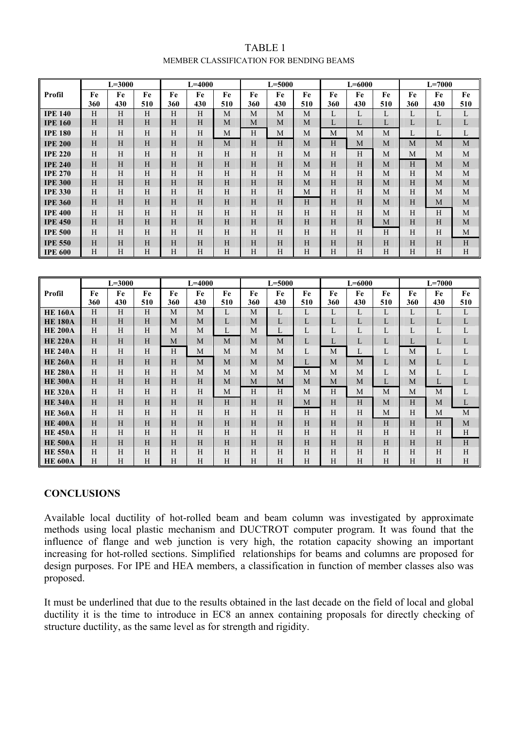| TABLE 1                                 |
|-----------------------------------------|
| MEMBER CLASSIFICATION FOR BENDING BEAMS |

|                | $L = 3000$ |                           |                         | $L = 4000$  |                  |                           | $L = 5000$                |                  |              | $L = 6000$ |                  |              | $L=7000$     |                |              |
|----------------|------------|---------------------------|-------------------------|-------------|------------------|---------------------------|---------------------------|------------------|--------------|------------|------------------|--------------|--------------|----------------|--------------|
| Profil         | Fe         | Fe                        | Fe                      | Fe          | Fe               | Fe                        | Fe                        | Fe               | Fe           | Fe         | Fe               | Fe           | Fe           | Fe             | Fe           |
|                | 360        | 430                       | 510                     | 360         | 430              | 510                       | 360                       | 430              | 510          | 360        | 430              | 510          | 360          | 430            | 510          |
| <b>IPE 140</b> | H          | H                         | H                       | H           | H                | M                         | M                         | M                | M            | L          | L                | L            | L            | L              | L            |
| <b>IPE 160</b> | H          | H                         | H                       | H           | H                | M                         | M                         | M                | M            | L          | L                | L            | L            | $\mathbf L$    | $\mathbf L$  |
| <b>IPE 180</b> | H          | H                         | $\overline{\mathrm{H}}$ | H           | H                | M                         | H                         | M                | M            | M          | M                | M            | $\mathbf{L}$ | $\mathbf L$    | L            |
| <b>IPE 200</b> | H          | $\mathbf H$               | $\overline{H}$          | $\mathbf H$ | H                | M                         | $\rm H$                   | $\mathbf H$      | M            | H          | M                | M            | M            | $\mathbf{M}$   | $\mathbf{M}$ |
| <b>IPE 220</b> | H          | H                         | H                       | H           | H                | H                         | H                         | H                | M            | H          | H                | M            | M            | M              | $\mathbf M$  |
| <b>IPE 240</b> | H          | H                         | $\overline{\mathrm{H}}$ | H           | H                | H                         | $\rm H$                   | H                | M            | H          | H                | $\mathbf M$  | H            | $\mathbf M$    | $\mathbf M$  |
| <b>IPE 270</b> | H          | H                         | H                       | H           | H                | H                         | H                         | H                | M            | H          | H                | M            | H            | M              | M            |
| <b>IPE 300</b> | H          | H                         | H                       | H           | H                | H                         | $\boldsymbol{\mathrm{H}}$ | H                | M            | $\rm H$    | H                | M            | H            | M              | $\mathbf M$  |
| <b>IPE 330</b> | H          | H                         | H                       | H           | H                | H                         | H                         | H                | M            | H          | H                | M            | H            | M              | M            |
| <b>IPE 360</b> | H          | H                         | H                       | H           | H                | H                         | H                         | H                | H            | $\rm H$    | H                | M            | H            | M              | $\mathbf M$  |
| <b>IPE 400</b> | H          | H                         | H                       | Н           | H                | H                         | H                         | H                | H            | H          | H                | M            | H            | H              | M            |
| <b>IPE 450</b> | H          | H                         | $H_{\rm}$               | H           | H                | H                         | H                         | H                | H            | $\rm H$    | $\rm H$          | $\mathbf M$  | H            | $\mathbf H$    | M            |
| <b>IPE 500</b> | H          | H                         | H                       | H           | H                | H                         | H                         | H                | H            | H          | H                | H            | H            | H              | M            |
| <b>IPE 550</b> | H          | $\boldsymbol{\mathrm{H}}$ | $\overline{H}$          | H           | H                | $\rm H$                   | $\rm H$                   | H                | H            | $\rm H$    | $\rm H$          | H            | H            | $\mathbf H$    | H            |
| <b>IPE 600</b> | H          | H                         | $\rm H$                 | H           | H                | H                         | $\mathbf H$               | H                | $\rm H$      | H          | $\rm H$          | H            | H            | H              | H            |
|                |            |                           |                         |             |                  |                           |                           |                  |              |            |                  |              |              |                |              |
|                |            |                           |                         |             |                  |                           |                           |                  |              |            |                  |              |              |                |              |
|                |            |                           |                         |             |                  |                           |                           |                  |              |            |                  |              |              |                |              |
| Profil         | Fe         | $L = 3000$<br>Fe          | Fe                      | Fe          | $L = 4000$<br>Fe | Fe                        | Fe                        | $L = 5000$<br>Fe | Fe           | Fe         | $L = 6000$<br>Fe | Fe           | Fe           | $L=7000$<br>Fe | Fe           |
|                | 360        | 430                       | 510                     | 360         | 430              | 510                       | 360                       | 430              | 510          | 360        | 430              | 510          | 360          | 430            | 510          |
| <b>HE 160A</b> | H          | H                         | H                       | M           | M                | L                         | M                         | L                | L            | L          | L                | L            | L            | L              | L            |
| <b>HE 180A</b> | H          | H                         | H                       | M           | M                | $\mathbf{L}$              | M                         | L                | L            | L          | L                | L            | L            | L              | $\mathbf L$  |
| <b>HE 200A</b> | H          | H                         | H                       | M           | M                | L                         | M                         | L                | L            | L          | L                | L            | L            | L              | L            |
| <b>HE 220A</b> | H          | H                         | H                       | M           | M                | M                         | M                         | $\mathbf M$      | L            | L          | L                | $\mathbf{L}$ | $\mathbf{L}$ | L              | L            |
| <b>HE 240A</b> | H          | H                         | H                       | H           | M                | M                         | M                         | M                | $\mathbf{L}$ | M          | L                | $\mathbf{L}$ | M            | L              | L            |
| <b>HE 260A</b> | H          | H                         | H                       | H           | M                | M                         | M                         | M                | L            | M          | M                | L            | М            | L              | $\mathbf L$  |
| <b>HE 280A</b> | H          | H                         | H                       | H           | M                | M                         | M                         | M                | M            | M          | M                | L            | M            | L              | L            |
| <b>HE 300A</b> | H          | H                         | H                       | H           | H                | M                         | M                         | M                | M            | M          | M                | L            | M            | L              | L            |
| <b>HE 320A</b> | H          | H                         | H                       | H           | H                | M                         | $\rm H$                   | $\rm H$          | M            | $\rm H$    | $\mathbf M$      | M            | M            | M              | L            |
| <b>HE 340A</b> | H          | $\rm H$                   | $\overline{H}$          | $\rm H$     | H                | $\boldsymbol{\mathrm{H}}$ | $\rm H$                   | $\rm H$          | $\mathbf M$  | $\rm H$    | H                | $\mathbf{M}$ | H            | $\mathbf M$    | $\mathbf L$  |
| <b>HE 360A</b> | H          | H                         | H                       | H           | H                | H                         | H                         | H                | H            | H          | H                | M            | H            | M              | $\mathbf M$  |
| <b>HE 400A</b> | H          | H                         | H                       | H           | H                | H                         | H                         | H                | H            | $\rm H$    | H                | H            | H            | H              | $\mathbf M$  |
| <b>HE 450A</b> | H          | H                         | H                       | H           | H                | H                         | H                         | H                | H            | H          | H                | H            | H            | H              | H            |
| <b>HE 500A</b> | H          | H                         | H                       | H           | H                | H                         | H                         | H                | H            | H          | H                | H            | H            | $\mathbf H$    | H            |
| <b>HE 550A</b> | H          | H                         | H<br>H                  | H           | H                | H                         | H                         | H                | H            | H          | H<br>H           | H            | H            | H              | H<br>H       |

#### **CONCLUSIONS**

Available local ductility of hot-rolled beam and beam column was investigated by approximate methods using local plastic mechanism and DUCTROT computer program. It was found that the influence of flange and web junction is very high, the rotation capacity showing an important increasing for hot-rolled sections. Simplified relationships for beams and columns are proposed for design purposes. For IPE and HEA members, a classification in function of member classes also was proposed.

It must be underlined that due to the results obtained in the last decade on the field of local and global ductility it is the time to introduce in EC8 an annex containing proposals for directly checking of structure ductility, as the same level as for strength and rigidity.